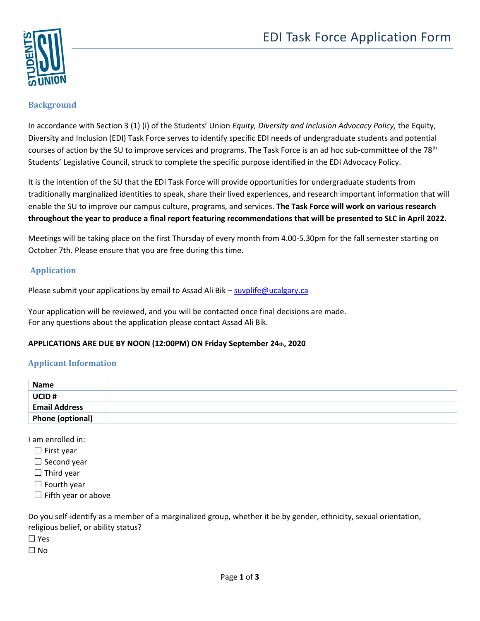

## **Background**

In accordance with Section 3 (1) (i) of the Students' Union *Equity, Diversity and Inclusion Advocacy Policy,* the Equity, Diversity and Inclusion (EDI) Task Force serves to identify specific EDI needs of undergraduate students and potential courses of action by the SU to improve services and programs. The Task Force is an ad hoc sub-committee of the 78<sup>th</sup> Students' Legislative Council, struck to complete the specific purpose identified in the EDI Advocacy Policy.

It is the intention of the SU that the EDI Task Force will provide opportunities for undergraduate students from traditionally marginalized identities to speak, share their lived experiences, and research important information that will enable the SU to improve our campus culture, programs, and services. **The Task Force will work on various research throughout the year to produce a final report featuring recommendations that will be presented to SLC in April 2022.**

Meetings will be taking place on the first Thursday of every month from 4.00-5.30pm for the fall semester starting on October 7th. Please ensure that you are free during this time.

## **Application**

Please submit your applications by email to Assad Ali Bik – [suvplife@ucalgary.ca](mailto:suvplife@ucalgary.ca)

Your application will be reviewed, and you will be contacted once final decisions are made. For any questions about the application please contact Assad Ali Bik.

## **APPLICATIONS ARE DUE BY NOON (12:00PM) ON Friday September 24th, 2020**

## **Applicant Information**

| Name                    |  |
|-------------------------|--|
| UCID#                   |  |
| <b>Email Address</b>    |  |
| <b>Phone (optional)</b> |  |

I am enrolled in:

- $\Box$  First year
- $\Box$  Second year
- $\Box$  Third year
- $\Box$  Fourth year
- $\Box$  Fifth year or above

Do you self-identify as a member of a marginalized group, whether it be by gender, ethnicity, sexual orientation, religious belief, or ability status? ☐ Yes

 $\Box$  No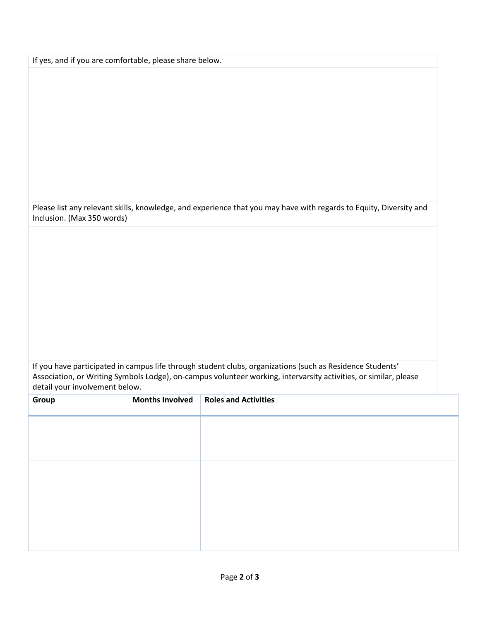If yes, and if you are comfortable, please share below.

Please list any relevant skills, knowledge, and experience that you may have with regards to Equity, Diversity and Inclusion. (Max 350 words)

If you have participated in campus life through student clubs, organizations (such as Residence Students' Association, or Writing Symbols Lodge), on-campus volunteer working, intervarsity activities, or similar, please detail your involvement below.

| Group | <b>Months Involved</b> | <b>Roles and Activities</b> |
|-------|------------------------|-----------------------------|
|       |                        |                             |
|       |                        |                             |
|       |                        |                             |
|       |                        |                             |
|       |                        |                             |
|       |                        |                             |